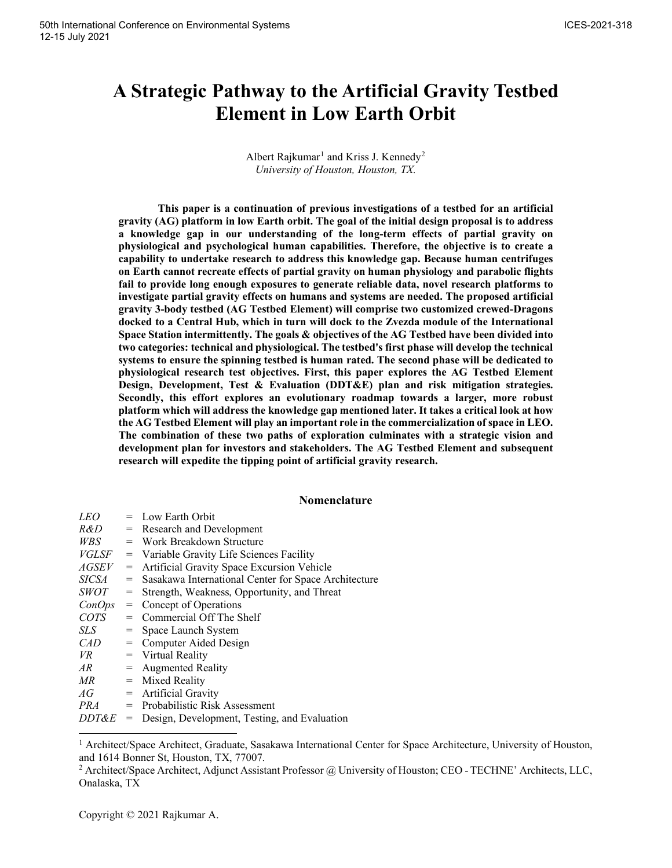# **A Strategic Pathway to the Artificial Gravity Testbed Element in Low Earth Orbit**

Albert Rajkumar<sup>[1](#page-0-0)</sup> and Kriss J. Kennedy<sup>[2](#page-0-1)</sup> *University of Houston, Houston, TX.*

**This paper is a continuation of previous investigations of a testbed for an artificial gravity (AG) platform in low Earth orbit. The goal of the initial design proposal is to address a knowledge gap in our understanding of the long-term effects of partial gravity on physiological and psychological human capabilities. Therefore, the objective is to create a capability to undertake research to address this knowledge gap. Because human centrifuges on Earth cannot recreate effects of partial gravity on human physiology and parabolic flights fail to provide long enough exposures to generate reliable data, novel research platforms to investigate partial gravity effects on humans and systems are needed. The proposed artificial gravity 3-body testbed (AG Testbed Element) will comprise two customized crewed-Dragons docked to a Central Hub, which in turn will dock to the Zvezda module of the International Space Station intermittently. The goals & objectives of the AG Testbed have been divided into two categories: technical and physiological. The testbed's first phase will develop the technical systems to ensure the spinning testbed is human rated. The second phase will be dedicated to physiological research test objectives. First, this paper explores the AG Testbed Element Design, Development, Test & Evaluation (DDT&E) plan and risk mitigation strategies. Secondly, this effort explores an evolutionary roadmap towards a larger, more robust platform which will address the knowledge gap mentioned later. It takes a critical look at how the AG Testbed Element will play an important role in the commercialization of space in LEO. The combination of these two paths of exploration culminates with a strategic vision and development plan for investors and stakeholders. The AG Testbed Element and subsequent research will expedite the tipping point of artificial gravity research.**

## **Nomenclature**

| <i>LEO</i>  |                                     | = Low Earth Orbit                                    |
|-------------|-------------------------------------|------------------------------------------------------|
| R&D -       |                                     | = Research and Development                           |
| WBS         | $=$                                 | Work Breakdown Structure                             |
| VGLSF       | $=$                                 | Variable Gravity Life Sciences Facility              |
| AGSEV       | $=$                                 | Artificial Gravity Space Excursion Vehicle           |
| SICSA       | $=$                                 | Sasakawa International Center for Space Architecture |
| <i>SWOT</i> | $=$                                 | Strength, Weakness, Opportunity, and Threat          |
| ConOps      | $=$                                 | Concept of Operations                                |
| COTS        | $=$                                 | Commercial Off The Shelf                             |
| SLS-        | =                                   | Space Launch System                                  |
| CAD         | $=$                                 | Computer Aided Design                                |
| VR.         |                                     | $=$ Virtual Reality                                  |
| AR.         |                                     | $=$ Augmented Reality                                |
| MR          |                                     | $=$ Mixed Reality                                    |
| АG          |                                     | $=$ Artificial Gravity                               |
| PRA         |                                     | $=$ Probabilistic Risk Assessment                    |
| DDT&E       | $\hspace*{0.4em} = \hspace*{0.4em}$ | Design, Development, Testing, and Evaluation         |

<span id="page-0-0"></span><sup>&</sup>lt;sup>1</sup> Architect/Space Architect, Graduate, Sasakawa International Center for Space Architecture, University of Houston, and 1614 Bonner St, Houston, TX, 77007.

<span id="page-0-1"></span><sup>&</sup>lt;sup>2</sup> Architect/Space Architect, Adjunct Assistant Professor @ University of Houston; CEO - TECHNE' Architects, LLC, Onalaska, TX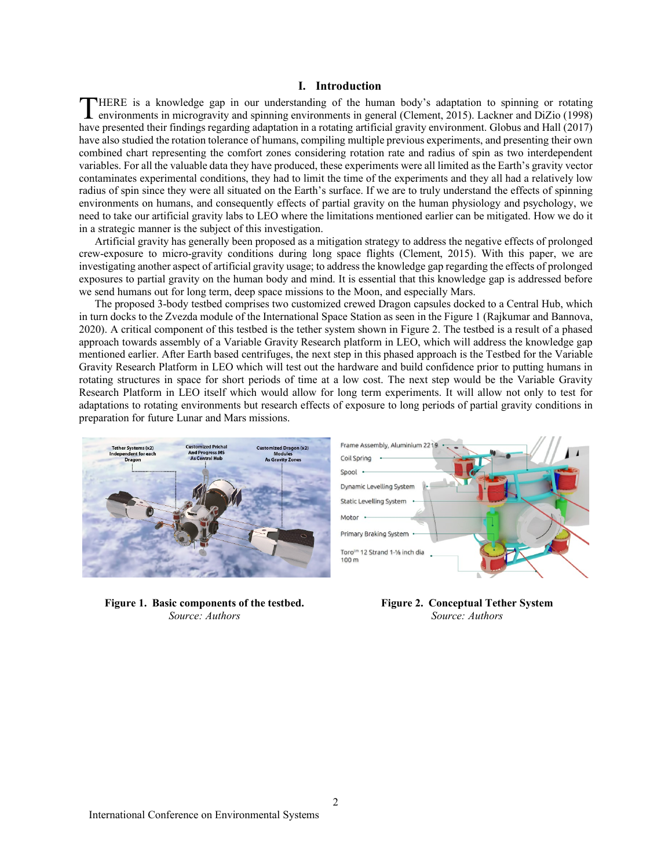## **I. Introduction**

HERE is a knowledge gap in our understanding of the human body's adaptation to spinning or rotating environments in microgravity and spinning environments in general (Clement, 2015). Lackner and DiZio (1998) THERE is a knowledge gap in our understanding of the human body's adaptation to spinning or rotating environments in microgravity and spinning environments in general (Clement, 2015). Lackner and DiZio (1998) have presente have also studied the rotation tolerance of humans, compiling multiple previous experiments, and presenting their own combined chart representing the comfort zones considering rotation rate and radius of spin as two interdependent variables. For all the valuable data they have produced, these experiments were all limited as the Earth's gravity vector contaminates experimental conditions, they had to limit the time of the experiments and they all had a relatively low radius of spin since they were all situated on the Earth's surface. If we are to truly understand the effects of spinning environments on humans, and consequently effects of partial gravity on the human physiology and psychology, we need to take our artificial gravity labs to LEO where the limitations mentioned earlier can be mitigated. How we do it in a strategic manner is the subject of this investigation.

Artificial gravity has generally been proposed as a mitigation strategy to address the negative effects of prolonged crew-exposure to micro-gravity conditions during long space flights (Clement, 2015). With this paper, we are investigating another aspect of artificial gravity usage; to address the knowledge gap regarding the effects of prolonged exposures to partial gravity on the human body and mind. It is essential that this knowledge gap is addressed before we send humans out for long term, deep space missions to the Moon, and especially Mars.

The proposed 3-body testbed comprises two customized crewed Dragon capsules docked to a Central Hub, which in turn docks to the Zvezda module of the International Space Station as seen in the Figure 1 (Rajkumar and Bannova, 2020). A critical component of this testbed is the tether system shown in Figure 2. The testbed is a result of a phased approach towards assembly of a Variable Gravity Research platform in LEO, which will address the knowledge gap mentioned earlier. After Earth based centrifuges, the next step in this phased approach is the Testbed for the Variable Gravity Research Platform in LEO which will test out the hardware and build confidence prior to putting humans in rotating structures in space for short periods of time at a low cost. The next step would be the Variable Gravity Research Platform in LEO itself which would allow for long term experiments. It will allow not only to test for adaptations to rotating environments but research effects of exposure to long periods of partial gravity conditions in preparation for future Lunar and Mars missions.



**Figure 1. Basic components of the testbed.** *Source: Authors*



**Figure 2. Conceptual Tether System**  *Source: Authors*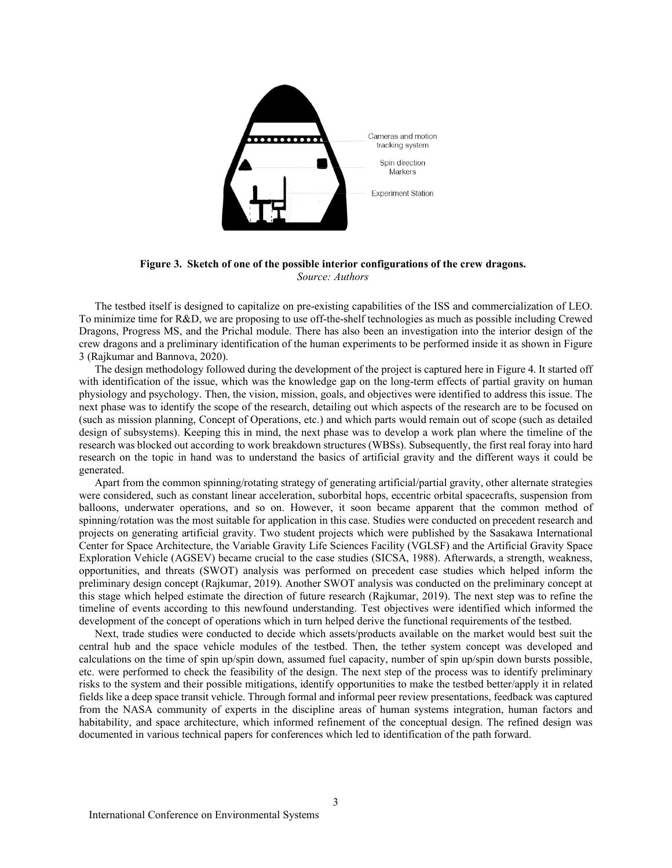

**Figure 3. Sketch of one of the possible interior configurations of the crew dragons.** *Source: Authors*

The testbed itself is designed to capitalize on pre-existing capabilities of the ISS and commercialization of LEO. To minimize time for R&D, we are proposing to use off-the-shelf technologies as much as possible including Crewed Dragons, Progress MS, and the Prichal module. There has also been an investigation into the interior design of the crew dragons and a preliminary identification of the human experiments to be performed inside it as shown in Figure 3 (Rajkumar and Bannova, 2020).

The design methodology followed during the development of the project is captured here in Figure 4. It started off with identification of the issue, which was the knowledge gap on the long-term effects of partial gravity on human physiology and psychology. Then, the vision, mission, goals, and objectives were identified to address this issue. The next phase was to identify the scope of the research, detailing out which aspects of the research are to be focused on (such as mission planning, Concept of Operations, etc.) and which parts would remain out of scope (such as detailed design of subsystems). Keeping this in mind, the next phase was to develop a work plan where the timeline of the research was blocked out according to work breakdown structures (WBSs). Subsequently, the first real foray into hard research on the topic in hand was to understand the basics of artificial gravity and the different ways it could be generated.

Apart from the common spinning/rotating strategy of generating artificial/partial gravity, other alternate strategies were considered, such as constant linear acceleration, suborbital hops, eccentric orbital spacecrafts, suspension from balloons, underwater operations, and so on. However, it soon became apparent that the common method of spinning/rotation was the most suitable for application in this case. Studies were conducted on precedent research and projects on generating artificial gravity. Two student projects which were published by the Sasakawa International Center for Space Architecture, the Variable Gravity Life Sciences Facility (VGLSF) and the Artificial Gravity Space Exploration Vehicle (AGSEV) became crucial to the case studies (SICSA, 1988). Afterwards, a strength, weakness, opportunities, and threats (SWOT) analysis was performed on precedent case studies which helped inform the preliminary design concept (Rajkumar, 2019). Another SWOT analysis was conducted on the preliminary concept at this stage which helped estimate the direction of future research (Rajkumar, 2019). The next step was to refine the timeline of events according to this newfound understanding. Test objectives were identified which informed the development of the concept of operations which in turn helped derive the functional requirements of the testbed.

Next, trade studies were conducted to decide which assets/products available on the market would best suit the central hub and the space vehicle modules of the testbed. Then, the tether system concept was developed and calculations on the time of spin up/spin down, assumed fuel capacity, number of spin up/spin down bursts possible, etc. were performed to check the feasibility of the design. The next step of the process was to identify preliminary risks to the system and their possible mitigations, identify opportunities to make the testbed better/apply it in related fields like a deep space transit vehicle. Through formal and informal peer review presentations, feedback was captured from the NASA community of experts in the discipline areas of human systems integration, human factors and habitability, and space architecture, which informed refinement of the conceptual design. The refined design was documented in various technical papers for conferences which led to identification of the path forward.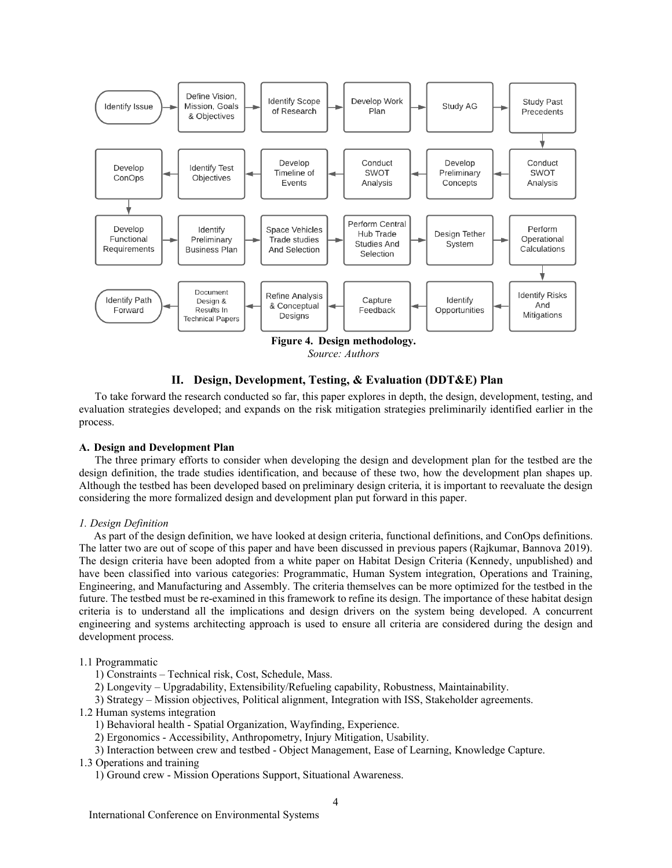

**II. Design, Development, Testing, & Evaluation (DDT&E) Plan**

To take forward the research conducted so far, this paper explores in depth, the design, development, testing, and evaluation strategies developed; and expands on the risk mitigation strategies preliminarily identified earlier in the process.

#### **A. Design and Development Plan**

The three primary efforts to consider when developing the design and development plan for the testbed are the design definition, the trade studies identification, and because of these two, how the development plan shapes up. Although the testbed has been developed based on preliminary design criteria, it is important to reevaluate the design considering the more formalized design and development plan put forward in this paper.

#### *1. Design Definition*

As part of the design definition, we have looked at design criteria, functional definitions, and ConOps definitions. The latter two are out of scope of this paper and have been discussed in previous papers (Rajkumar, Bannova 2019). The design criteria have been adopted from a white paper on Habitat Design Criteria (Kennedy, unpublished) and have been classified into various categories: Programmatic, Human System integration, Operations and Training, Engineering, and Manufacturing and Assembly. The criteria themselves can be more optimized for the testbed in the future. The testbed must be re-examined in this framework to refine its design. The importance of these habitat design criteria is to understand all the implications and design drivers on the system being developed. A concurrent engineering and systems architecting approach is used to ensure all criteria are considered during the design and development process.

#### 1.1 Programmatic

1) Constraints – Technical risk, Cost, Schedule, Mass.

2) Longevity – Upgradability, Extensibility/Refueling capability, Robustness, Maintainability.

3) Strategy – Mission objectives, Political alignment, Integration with ISS, Stakeholder agreements.

1.2 Human systems integration

1) Behavioral health - Spatial Organization, Wayfinding, Experience.

2) Ergonomics - Accessibility, Anthropometry, Injury Mitigation, Usability.

3) Interaction between crew and testbed - Object Management, Ease of Learning, Knowledge Capture.

1.3 Operations and training

1) Ground crew - Mission Operations Support, Situational Awareness.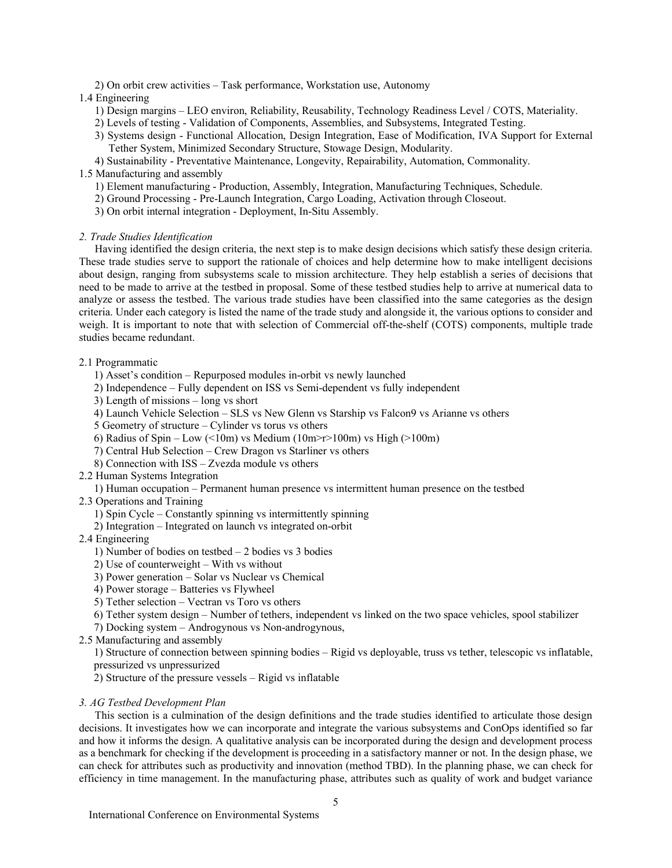2) On orbit crew activities – Task performance, Workstation use, Autonomy

## 1.4 Engineering

1) Design margins – LEO environ, Reliability, Reusability, Technology Readiness Level / COTS, Materiality.

2) Levels of testing - Validation of Components, Assemblies, and Subsystems, Integrated Testing.

3) Systems design - Functional Allocation, Design Integration, Ease of Modification, IVA Support for External Tether System, Minimized Secondary Structure, Stowage Design, Modularity.

4) Sustainability - Preventative Maintenance, Longevity, Repairability, Automation, Commonality.

# 1.5 Manufacturing and assembly

- 1) Element manufacturing Production, Assembly, Integration, Manufacturing Techniques, Schedule.
- 2) Ground Processing Pre-Launch Integration, Cargo Loading, Activation through Closeout.
- 3) On orbit internal integration Deployment, In-Situ Assembly.

## *2. Trade Studies Identification*

Having identified the design criteria, the next step is to make design decisions which satisfy these design criteria. These trade studies serve to support the rationale of choices and help determine how to make intelligent decisions about design, ranging from subsystems scale to mission architecture. They help establish a series of decisions that need to be made to arrive at the testbed in proposal. Some of these testbed studies help to arrive at numerical data to analyze or assess the testbed. The various trade studies have been classified into the same categories as the design criteria. Under each category is listed the name of the trade study and alongside it, the various options to consider and weigh. It is important to note that with selection of Commercial off-the-shelf (COTS) components, multiple trade studies became redundant.

# 2.1 Programmatic

- 1) Asset's condition Repurposed modules in-orbit vs newly launched
- 2) Independence Fully dependent on ISS vs Semi-dependent vs fully independent
- 3) Length of missions long vs short
- 4) Launch Vehicle Selection SLS vs New Glenn vs Starship vs Falcon9 vs Arianne vs others
- 5 Geometry of structure Cylinder vs torus vs others
- 6) Radius of Spin Low (<10m) vs Medium (10m>r>100m) vs High (>100m)
- 7) Central Hub Selection Crew Dragon vs Starliner vs others
- 8) Connection with ISS Zvezda module vs others
- 2.2 Human Systems Integration

1) Human occupation – Permanent human presence vs intermittent human presence on the testbed

- 2.3 Operations and Training
	- 1) Spin Cycle Constantly spinning vs intermittently spinning
	- 2) Integration Integrated on launch vs integrated on-orbit

# 2.4 Engineering

- 1) Number of bodies on testbed  $-2$  bodies vs 3 bodies
- 2) Use of counterweight With vs without
- 3) Power generation Solar vs Nuclear vs Chemical
- 4) Power storage Batteries vs Flywheel
- 5) Tether selection Vectran vs Toro vs others
- 6) Tether system design Number of tethers, independent vs linked on the two space vehicles, spool stabilizer

7) Docking system – Androgynous vs Non-androgynous,

2.5 Manufacturing and assembly

1) Structure of connection between spinning bodies – Rigid vs deployable, truss vs tether, telescopic vs inflatable, pressurized vs unpressurized

2) Structure of the pressure vessels – Rigid vs inflatable

## *3. AG Testbed Development Plan*

This section is a culmination of the design definitions and the trade studies identified to articulate those design decisions. It investigates how we can incorporate and integrate the various subsystems and ConOps identified so far and how it informs the design. A qualitative analysis can be incorporated during the design and development process as a benchmark for checking if the development is proceeding in a satisfactory manner or not. In the design phase, we can check for attributes such as productivity and innovation (method TBD). In the planning phase, we can check for efficiency in time management. In the manufacturing phase, attributes such as quality of work and budget variance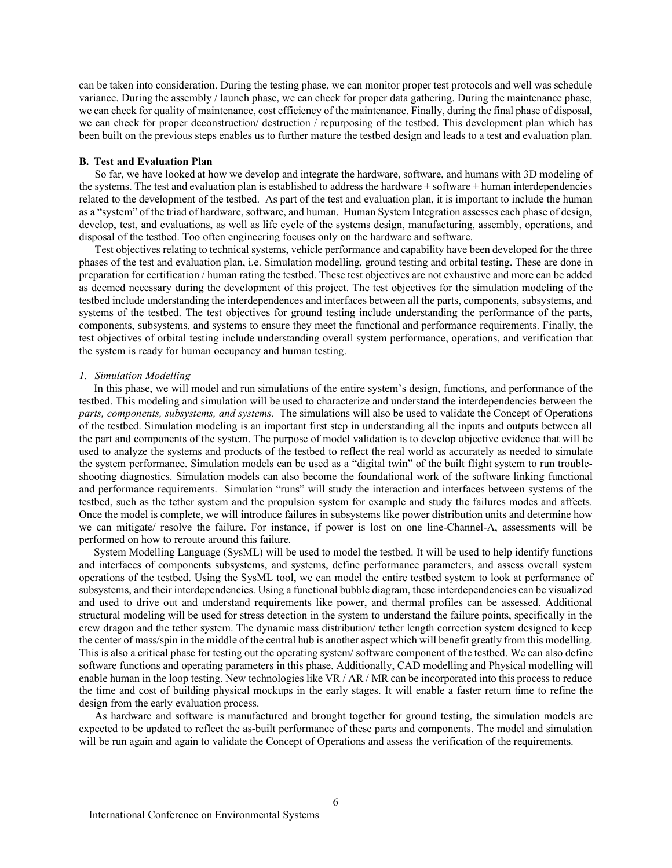can be taken into consideration. During the testing phase, we can monitor proper test protocols and well was schedule variance. During the assembly / launch phase, we can check for proper data gathering. During the maintenance phase, we can check for quality of maintenance, cost efficiency of the maintenance. Finally, during the final phase of disposal, we can check for proper deconstruction/ destruction / repurposing of the testbed. This development plan which has been built on the previous steps enables us to further mature the testbed design and leads to a test and evaluation plan.

#### **B. Test and Evaluation Plan**

So far, we have looked at how we develop and integrate the hardware, software, and humans with 3D modeling of the systems. The test and evaluation plan is established to address the hardware + software + human interdependencies related to the development of the testbed. As part of the test and evaluation plan, it is important to include the human as a "system" of the triad of hardware, software, and human. Human System Integration assesses each phase of design, develop, test, and evaluations, as well as life cycle of the systems design, manufacturing, assembly, operations, and disposal of the testbed. Too often engineering focuses only on the hardware and software.

Test objectives relating to technical systems, vehicle performance and capability have been developed for the three phases of the test and evaluation plan, i.e. Simulation modelling, ground testing and orbital testing. These are done in preparation for certification / human rating the testbed. These test objectives are not exhaustive and more can be added as deemed necessary during the development of this project. The test objectives for the simulation modeling of the testbed include understanding the interdependences and interfaces between all the parts, components, subsystems, and systems of the testbed. The test objectives for ground testing include understanding the performance of the parts, components, subsystems, and systems to ensure they meet the functional and performance requirements. Finally, the test objectives of orbital testing include understanding overall system performance, operations, and verification that the system is ready for human occupancy and human testing.

#### *1. Simulation Modelling*

In this phase, we will model and run simulations of the entire system's design, functions, and performance of the testbed. This modeling and simulation will be used to characterize and understand the interdependencies between the *parts, components, subsystems, and systems.* The simulations will also be used to validate the Concept of Operations of the testbed. Simulation modeling is an important first step in understanding all the inputs and outputs between all the part and components of the system. The purpose of model validation is to develop objective evidence that will be used to analyze the systems and products of the testbed to reflect the real world as accurately as needed to simulate the system performance. Simulation models can be used as a "digital twin" of the built flight system to run troubleshooting diagnostics. Simulation models can also become the foundational work of the software linking functional and performance requirements. Simulation "runs" will study the interaction and interfaces between systems of the testbed, such as the tether system and the propulsion system for example and study the failures modes and affects. Once the model is complete, we will introduce failures in subsystems like power distribution units and determine how we can mitigate/ resolve the failure. For instance, if power is lost on one line-Channel-A, assessments will be performed on how to reroute around this failure.

System Modelling Language (SysML) will be used to model the testbed. It will be used to help identify functions and interfaces of components subsystems, and systems, define performance parameters, and assess overall system operations of the testbed. Using the SysML tool, we can model the entire testbed system to look at performance of subsystems, and their interdependencies. Using a functional bubble diagram, these interdependencies can be visualized and used to drive out and understand requirements like power, and thermal profiles can be assessed. Additional structural modeling will be used for stress detection in the system to understand the failure points, specifically in the crew dragon and the tether system. The dynamic mass distribution/ tether length correction system designed to keep the center of mass/spin in the middle of the central hub is another aspect which will benefit greatly from this modelling. This is also a critical phase for testing out the operating system/ software component of the testbed. We can also define software functions and operating parameters in this phase. Additionally, CAD modelling and Physical modelling will enable human in the loop testing. New technologies like VR / AR / MR can be incorporated into this process to reduce the time and cost of building physical mockups in the early stages. It will enable a faster return time to refine the design from the early evaluation process.

As hardware and software is manufactured and brought together for ground testing, the simulation models are expected to be updated to reflect the as-built performance of these parts and components. The model and simulation will be run again and again to validate the Concept of Operations and assess the verification of the requirements.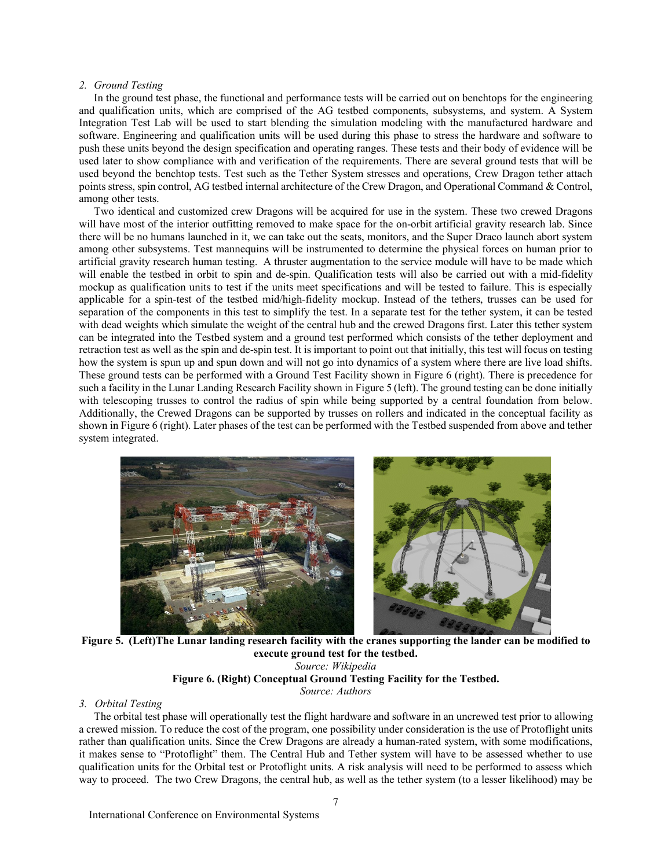#### *2. Ground Testing*

In the ground test phase, the functional and performance tests will be carried out on benchtops for the engineering and qualification units, which are comprised of the AG testbed components, subsystems, and system. A System Integration Test Lab will be used to start blending the simulation modeling with the manufactured hardware and software. Engineering and qualification units will be used during this phase to stress the hardware and software to push these units beyond the design specification and operating ranges. These tests and their body of evidence will be used later to show compliance with and verification of the requirements. There are several ground tests that will be used beyond the benchtop tests. Test such as the Tether System stresses and operations, Crew Dragon tether attach points stress, spin control, AG testbed internal architecture of the Crew Dragon, and Operational Command & Control, among other tests.

Two identical and customized crew Dragons will be acquired for use in the system. These two crewed Dragons will have most of the interior outfitting removed to make space for the on-orbit artificial gravity research lab. Since there will be no humans launched in it, we can take out the seats, monitors, and the Super Draco launch abort system among other subsystems. Test mannequins will be instrumented to determine the physical forces on human prior to artificial gravity research human testing. A thruster augmentation to the service module will have to be made which will enable the testbed in orbit to spin and de-spin. Qualification tests will also be carried out with a mid-fidelity mockup as qualification units to test if the units meet specifications and will be tested to failure. This is especially applicable for a spin-test of the testbed mid/high-fidelity mockup. Instead of the tethers, trusses can be used for separation of the components in this test to simplify the test. In a separate test for the tether system, it can be tested with dead weights which simulate the weight of the central hub and the crewed Dragons first. Later this tether system can be integrated into the Testbed system and a ground test performed which consists of the tether deployment and retraction test as well as the spin and de-spin test. It is important to point out that initially, this test will focus on testing how the system is spun up and spun down and will not go into dynamics of a system where there are live load shifts. These ground tests can be performed with a Ground Test Facility shown in Figure 6 (right). There is precedence for such a facility in the Lunar Landing Research Facility shown in Figure 5 (left). The ground testing can be done initially with telescoping trusses to control the radius of spin while being supported by a central foundation from below. Additionally, the Crewed Dragons can be supported by trusses on rollers and indicated in the conceptual facility as shown in Figure 6 (right). Later phases of the test can be performed with the Testbed suspended from above and tether system integrated.



 **Figure 5. (Left)The Lunar landing research facility with the cranes supporting the lander can be modified to execute ground test for the testbed.**

*Source: Wikipedia* **Figure 6. (Right) Conceptual Ground Testing Facility for the Testbed.** *Source: Authors*

# *3. Orbital Testing*

The orbital test phase will operationally test the flight hardware and software in an uncrewed test prior to allowing a crewed mission. To reduce the cost of the program, one possibility under consideration is the use of Protoflight units rather than qualification units. Since the Crew Dragons are already a human-rated system, with some modifications, it makes sense to "Protoflight" them. The Central Hub and Tether system will have to be assessed whether to use qualification units for the Orbital test or Protoflight units. A risk analysis will need to be performed to assess which way to proceed. The two Crew Dragons, the central hub, as well as the tether system (to a lesser likelihood) may be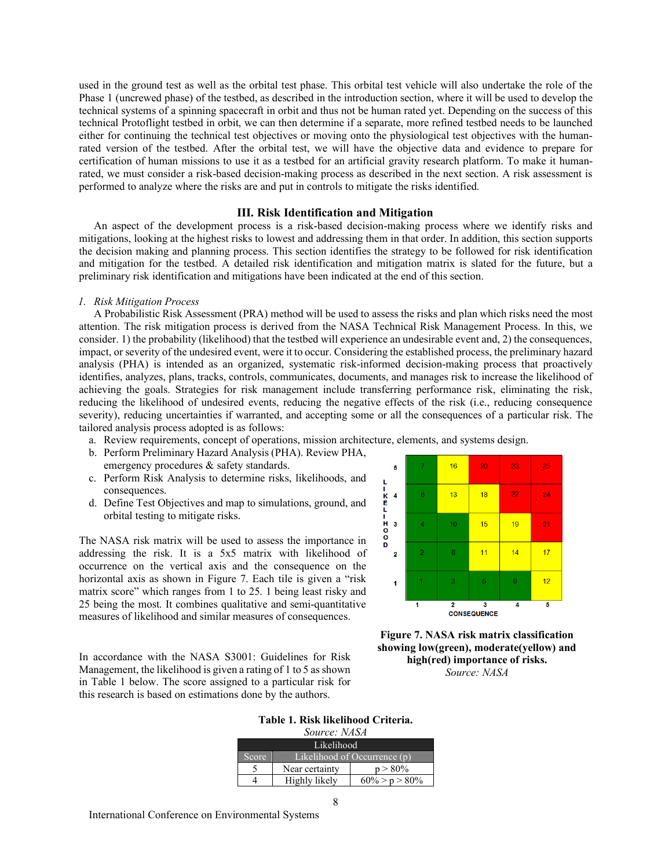used in the ground test as well as the orbital test phase. This orbital test vehicle will also undertake the role of the Phase 1 (uncrewed phase) of the testbed, as described in the introduction section, where it will be used to develop the technical systems of a spinning spacecraft in orbit and thus not be human rated yet. Depending on the success of this technical Protoflight testbed in orbit, we can then determine if a separate, more refined testbed needs to be launched either for continuing the technical test objectives or moving onto the physiological test objectives with the humanrated version of the testbed. After the orbital test, we will have the objective data and evidence to prepare for certification of human missions to use it as a testbed for an artificial gravity research platform. To make it humanrated, we must consider a risk-based decision-making process as described in the next section. A risk assessment is performed to analyze where the risks are and put in controls to mitigate the risks identified.

### **III. Risk Identification and Mitigation**

An aspect of the development process is a risk-based decision-making process where we identify risks and mitigations, looking at the highest risks to lowest and addressing them in that order. In addition, this section supports the decision making and planning process. This section identifies the strategy to be followed for risk identification and mitigation for the testbed. A detailed risk identification and mitigation matrix is slated for the future, but a preliminary risk identification and mitigations have been indicated at the end of this section.

#### *1. Risk Mitigation Process*

A Probabilistic Risk Assessment (PRA) method will be used to assess the risks and plan which risks need the most attention. The risk mitigation process is derived from the NASA Technical Risk Management Process. In this, we consider. 1) the probability (likelihood) that the testbed will experience an undesirable event and, 2) the consequences, impact, or severity of the undesired event, were it to occur. Considering the established process, the preliminary hazard analysis (PHA) is intended as an organized, systematic risk-informed decision-making process that proactively identifies, analyzes, plans, tracks, controls, communicates, documents, and manages risk to increase the likelihood of achieving the goals. Strategies for risk management include transferring performance risk, eliminating the risk, reducing the likelihood of undesired events, reducing the negative effects of the risk (i.e., reducing consequence severity), reducing uncertainties if warranted, and accepting some or all the consequences of a particular risk. The tailored analysis process adopted is as follows:

Ď

- a. Review requirements, concept of operations, mission architecture, elements, and systems design.
- b. Perform Preliminary Hazard Analysis (PHA). Review PHA, emergency procedures & safety standards.
- c. Perform Risk Analysis to determine risks, likelihoods, and consequences.
- d. Define Test Objectives and map to simulations, ground, and orbital testing to mitigate risks.

The NASA risk matrix will be used to assess the importance in addressing the risk. It is a 5x5 matrix with likelihood of occurrence on the vertical axis and the consequence on the horizontal axis as shown in Figure 7. Each tile is given a "risk matrix score" which ranges from 1 to 25. 1 being least risky and 25 being the most. It combines qualitative and semi-quantitative measures of likelihood and similar measures of consequences.

 $16$  $\overline{20}$ 25 23 h  $18$  $\overline{22}$  $13$  $\overline{24}$ K<br>E  $\frac{11}{0}$  $10<sup>10</sup>$  $15$  $19$  $\overline{\mathbf{3}}$  $21$  $\overline{8}$  $11$  $14$  $17$  $\overline{2}$ 3  $12$  $\alpha$  $\overline{1}$  $\overline{2}$ 3  $\overline{4}$ 5 **CONSEQUENCE** 

In accordance with the NASA S3001: Guidelines for Risk Management, the likelihood is given a rating of 1 to 5 as shown in Table 1 below. The score assigned to a particular risk for this research is based on estimations done by the authors.



# **Table 1. Risk likelihood Criteria.**

| Source: NASA |                              |                   |  |  |  |
|--------------|------------------------------|-------------------|--|--|--|
| Likelihood   |                              |                   |  |  |  |
| <b>Score</b> | Likelihood of Occurrence (p) |                   |  |  |  |
|              | $p > 80\%$<br>Near certainty |                   |  |  |  |
|              | Highly likely                | $60\% > p > 80\%$ |  |  |  |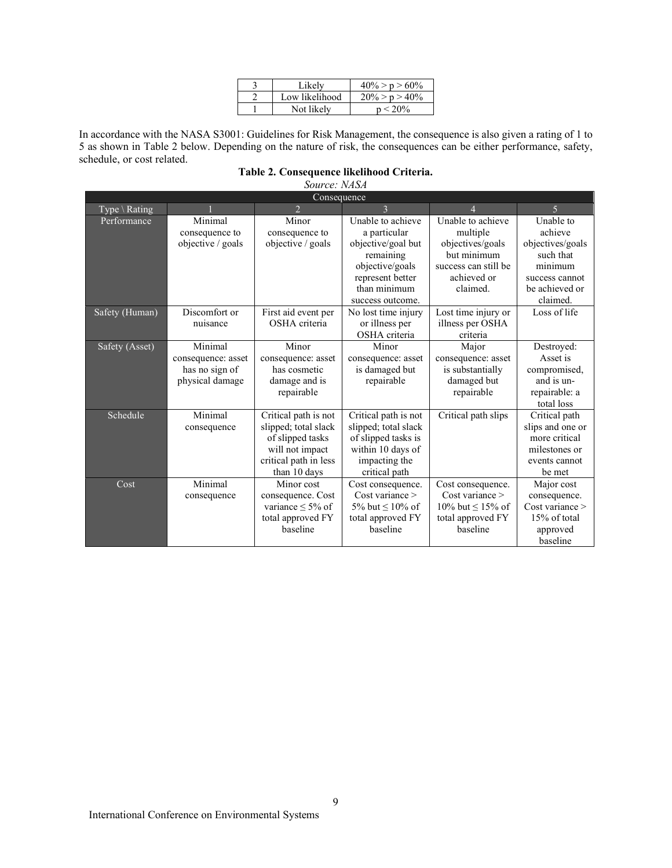| Likely         | $40\% > p > 60\%$ |
|----------------|-------------------|
| Low likelihood | $20\% > p > 40\%$ |
| Not likelv     | $n < 20\%$        |

In accordance with the NASA S3001: Guidelines for Risk Management, the consequence is also given a rating of 1 to 5 as shown in Table 2 below. Depending on the nature of risk, the consequences can be either performance, safety, schedule, or cost related.

| Table 2. Consequence likelihood Criteria. |  |
|-------------------------------------------|--|
|                                           |  |

*Source: NASA*

| Consequence    |                           |                         |                                   |                               |                      |  |
|----------------|---------------------------|-------------------------|-----------------------------------|-------------------------------|----------------------|--|
| Type \ Rating  |                           | $\overline{2}$          | $\mathbf{3}$                      |                               | 5                    |  |
| Performance    | Minimal<br>consequence to | Minor<br>consequence to | Unable to achieve<br>a particular | Unable to achieve<br>multiple | Unable to<br>achieve |  |
|                | objective / goals         | objective / goals       | objective/goal but                | objectives/goals              | objectives/goals     |  |
|                |                           |                         | remaining                         | but minimum                   | such that            |  |
|                |                           |                         | objective/goals                   | success can still be          | minimum              |  |
|                |                           |                         | represent better                  | achieved or                   | success cannot       |  |
|                |                           |                         | than minimum                      | claimed.                      | be achieved or       |  |
|                |                           |                         | success outcome.                  |                               | claimed.             |  |
| Safety (Human) | Discomfort or             | First aid event per     | No lost time injury               | Lost time injury or           | Loss of life         |  |
|                | nuisance                  | OSHA criteria           | or illness per                    | illness per OSHA              |                      |  |
|                |                           |                         | OSHA criteria                     | criteria                      |                      |  |
| Safety (Asset) | Minimal                   | Minor                   | Minor                             | Major                         | Destroyed:           |  |
|                | consequence: asset        | consequence: asset      | consequence: asset                | consequence: asset            | Asset is             |  |
|                | has no sign of            | has cosmetic            | is damaged but                    | is substantially              | compromised,         |  |
|                | physical damage           | damage and is           | repairable                        | damaged but                   | and is un-           |  |
|                |                           | repairable              |                                   | repairable                    | repairable: a        |  |
|                |                           |                         |                                   |                               | total loss           |  |
| Schedule       | Minimal                   | Critical path is not    | Critical path is not              | Critical path slips           | Critical path        |  |
|                | consequence               | slipped; total slack    | slipped; total slack              |                               | slips and one or     |  |
|                |                           | of slipped tasks        | of slipped tasks is               |                               | more critical        |  |
|                |                           | will not impact         | within 10 days of                 |                               | milestones or        |  |
|                |                           | critical path in less   | impacting the                     |                               | events cannot        |  |
|                |                           | than 10 days            | critical path                     |                               | be met               |  |
| Cost           | Minimal                   | Minor cost              | Cost consequence.                 | Cost consequence.             | Major cost           |  |
|                | consequence               | consequence. Cost       | Cost variance                     | Cost variance                 | consequence.         |  |
|                |                           | variance $\leq 5\%$ of  | 5% but $\leq 10\%$ of             | 10% but $\leq$ 15% of         | Cost variance        |  |
|                |                           | total approved FY       | total approved FY                 | total approved FY             | 15% of total         |  |
|                |                           | baseline                | haseline                          | baseline                      | approved             |  |
|                |                           |                         |                                   |                               | baseline             |  |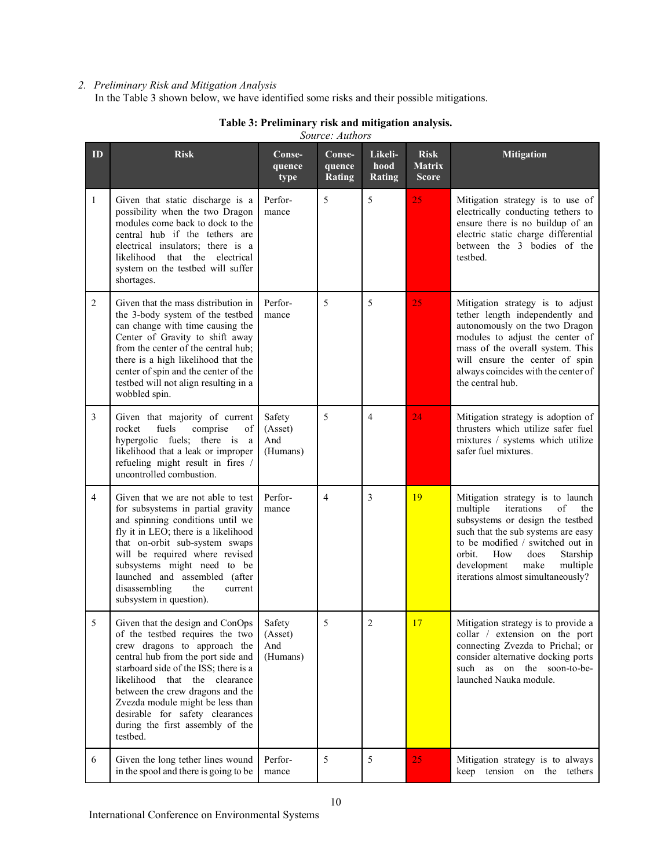# *2. Preliminary Risk and Mitigation Analysis*

In the Table 3 shown below, we have identified some risks and their possible mitigations.

|    | Source: Authors                                                                                                                                                                                                                                                                                                                                                                |                                      |                                   |                                  |                                              |                                                                                                                                                                                                                                                                                                    |
|----|--------------------------------------------------------------------------------------------------------------------------------------------------------------------------------------------------------------------------------------------------------------------------------------------------------------------------------------------------------------------------------|--------------------------------------|-----------------------------------|----------------------------------|----------------------------------------------|----------------------------------------------------------------------------------------------------------------------------------------------------------------------------------------------------------------------------------------------------------------------------------------------------|
| ID | <b>Risk</b>                                                                                                                                                                                                                                                                                                                                                                    | Conse-<br>quence<br>type             | Conse-<br>quence<br><b>Rating</b> | Likeli-<br>hood<br><b>Rating</b> | <b>Risk</b><br><b>Matrix</b><br><b>Score</b> | <b>Mitigation</b>                                                                                                                                                                                                                                                                                  |
| 1  | Given that static discharge is a<br>possibility when the two Dragon<br>modules come back to dock to the<br>central hub if the tethers are<br>electrical insulators; there is a<br>likelihood that the electrical<br>system on the testbed will suffer<br>shortages.                                                                                                            | Perfor-<br>mance                     | 5                                 | 5                                | 25                                           | Mitigation strategy is to use of<br>electrically conducting tethers to<br>ensure there is no buildup of an<br>electric static charge differential<br>between the 3 bodies of the<br>testbed.                                                                                                       |
| 2  | Given that the mass distribution in<br>the 3-body system of the testbed<br>can change with time causing the<br>Center of Gravity to shift away<br>from the center of the central hub;<br>there is a high likelihood that the<br>center of spin and the center of the<br>testbed will not align resulting in a<br>wobbled spin.                                                 | Perfor-<br>mance                     | 5                                 | 5                                | 25                                           | Mitigation strategy is to adjust<br>tether length independently and<br>autonomously on the two Dragon<br>modules to adjust the center of<br>mass of the overall system. This<br>will ensure the center of spin<br>always coincides with the center of<br>the central hub.                          |
| 3  | Given that majority of current<br>fuels<br>rocket<br>comprise<br>of<br>hypergolic fuels; there is a<br>likelihood that a leak or improper<br>refueling might result in fires /<br>uncontrolled combustion.                                                                                                                                                                     | Safety<br>(Asset)<br>And<br>(Humans) | 5                                 | $\overline{4}$                   | 24                                           | Mitigation strategy is adoption of<br>thrusters which utilize safer fuel<br>mixtures / systems which utilize<br>safer fuel mixtures.                                                                                                                                                               |
| 4  | Given that we are not able to test<br>for subsystems in partial gravity<br>and spinning conditions until we<br>fly it in LEO; there is a likelihood<br>that on-orbit sub-system swaps<br>will be required where revised<br>subsystems might need to be<br>launched and assembled (after<br>disassembling<br>the<br>current<br>subsystem in question).                          | Perfor-<br>mance                     | $\overline{4}$                    | 3                                | 19                                           | Mitigation strategy is to launch<br>multiple<br>iterations<br>of<br>the<br>subsystems or design the testbed<br>such that the sub systems are easy<br>to be modified / switched out in<br>orbit.<br>How<br>does<br>Starship<br>development<br>make<br>multiple<br>iterations almost simultaneously? |
| 5  | Given that the design and ConOps<br>of the testbed requires the two<br>crew dragons to approach the<br>central hub from the port side and<br>starboard side of the ISS; there is a<br>likelihood that the clearance<br>between the crew dragons and the<br>Zvezda module might be less than<br>desirable for safety clearances<br>during the first assembly of the<br>testbed. | Safety<br>(Asset)<br>And<br>(Humans) | 5                                 | 2                                | 17                                           | Mitigation strategy is to provide a<br>collar / extension on the port<br>connecting Zvezda to Prichal; or<br>consider alternative docking ports<br>such as on the soon-to-be-<br>launched Nauka module.                                                                                            |
| 6  | Given the long tether lines wound<br>in the spool and there is going to be                                                                                                                                                                                                                                                                                                     | Perfor-<br>mance                     | 5                                 | 5                                | 25                                           | Mitigation strategy is to always<br>keep tension on the tethers                                                                                                                                                                                                                                    |

# **Table 3: Preliminary risk and mitigation analysis.**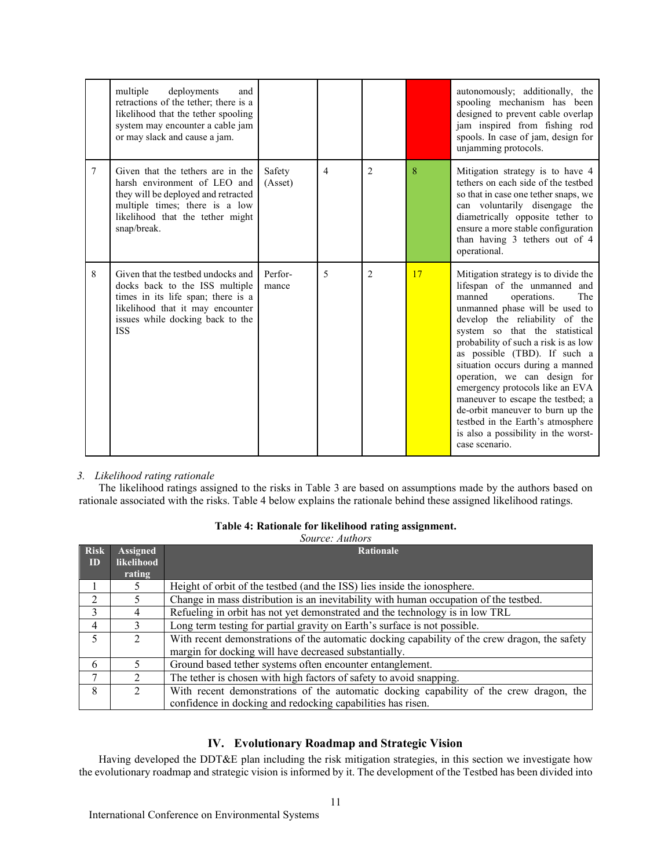|   | multiple<br>deployments<br>and<br>retractions of the tether; there is a<br>likelihood that the tether spooling<br>system may encounter a cable jam<br>or may slack and cause a jam.              |                   |                |                |    | autonomously; additionally, the<br>spooling mechanism has been<br>designed to prevent cable overlap<br>jam inspired from fishing rod<br>spools. In case of jam, design for<br>unjamming protocols.                                                                                                                                                                                                                                                                                                                                                               |
|---|--------------------------------------------------------------------------------------------------------------------------------------------------------------------------------------------------|-------------------|----------------|----------------|----|------------------------------------------------------------------------------------------------------------------------------------------------------------------------------------------------------------------------------------------------------------------------------------------------------------------------------------------------------------------------------------------------------------------------------------------------------------------------------------------------------------------------------------------------------------------|
| 7 | Given that the tethers are in the<br>harsh environment of LEO and<br>they will be deployed and retracted<br>multiple times; there is a low<br>likelihood that the tether might<br>snap/break.    | Safety<br>(Asset) | $\overline{4}$ | $\overline{2}$ | 8  | Mitigation strategy is to have 4<br>tethers on each side of the testbed<br>so that in case one tether snaps, we<br>can voluntarily disengage the<br>diametrically opposite tether to<br>ensure a more stable configuration<br>than having 3 tethers out of 4<br>operational.                                                                                                                                                                                                                                                                                     |
| 8 | Given that the testbed undocks and<br>docks back to the ISS multiple<br>times in its life span; there is a<br>likelihood that it may encounter<br>issues while docking back to the<br><b>ISS</b> | Perfor-<br>mance  | 5              | 2              | 17 | Mitigation strategy is to divide the<br>lifespan of the unmanned and<br>manned<br>operations.<br>The<br>unmanned phase will be used to<br>develop the reliability of the<br>system so that the statistical<br>probability of such a risk is as low<br>as possible (TBD). If such a<br>situation occurs during a manned<br>operation, we can design for<br>emergency protocols like an EVA<br>maneuver to escape the testbed; a<br>de-orbit maneuver to burn up the<br>testbed in the Earth's atmosphere<br>is also a possibility in the worst-<br>case scenario. |

# *3. Likelihood rating rationale*

The likelihood ratings assigned to the risks in Table 3 are based on assumptions made by the authors based on rationale associated with the risks. Table 4 below explains the rationale behind these assigned likelihood ratings.

| Table 4: Rationale for likelihood rating assignment. |  |
|------------------------------------------------------|--|
|------------------------------------------------------|--|

|                |                             | Source: Authors                                                                               |
|----------------|-----------------------------|-----------------------------------------------------------------------------------------------|
| <b>Risk</b>    | <b>Assigned</b>             | Rationale                                                                                     |
| ID             | likelihood                  |                                                                                               |
|                | rating                      |                                                                                               |
|                | 5                           | Height of orbit of the testbed (and the ISS) lies inside the ionosphere.                      |
| $\mathfrak{D}$ |                             | Change in mass distribution is an inevitability with human occupation of the testbed.         |
| 3              | 4                           | Refueling in orbit has not yet demonstrated and the technology is in low TRL                  |
| 4              | 3                           | Long term testing for partial gravity on Earth's surface is not possible.                     |
| 5              | $\mathfrak{D}$              | With recent demonstrations of the automatic docking capability of the crew dragon, the safety |
|                |                             | margin for docking will have decreased substantially.                                         |
| 6              | 5                           | Ground based tether systems often encounter entanglement.                                     |
| 7              | $\mathfrak{D}$              | The tether is chosen with high factors of safety to avoid snapping.                           |
| 8              | $\mathcal{D}_{\mathcal{L}}$ | With recent demonstrations of the automatic docking capability of the crew dragon, the        |
|                |                             | confidence in docking and redocking capabilities has risen.                                   |

# **IV. Evolutionary Roadmap and Strategic Vision**

Having developed the DDT&E plan including the risk mitigation strategies, in this section we investigate how the evolutionary roadmap and strategic vision is informed by it. The development of the Testbed has been divided into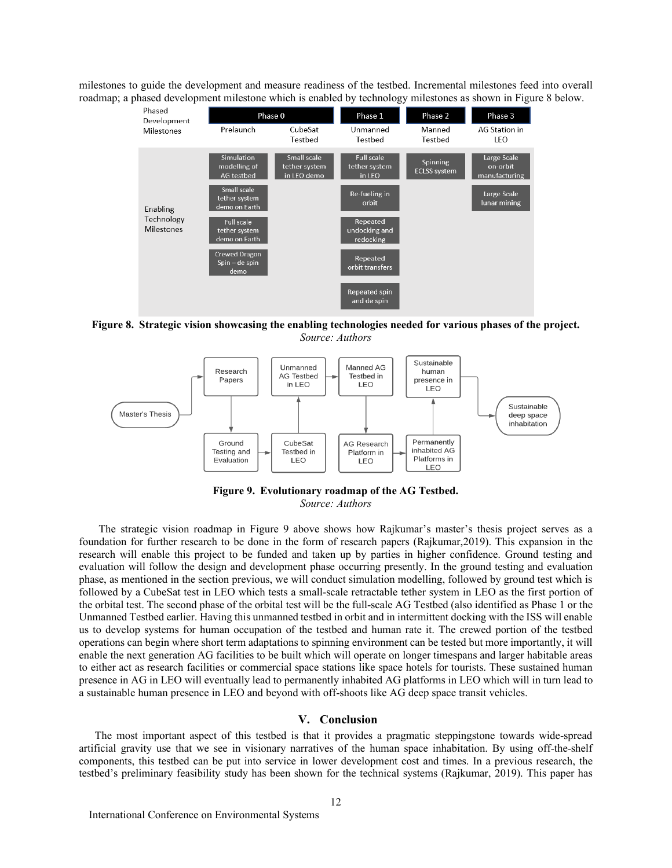milestones to guide the development and measure readiness of the testbed. Incremental milestones feed into overall roadmap; a phased development milestone which is enabled by technology milestones as shown in Figure 8 below.



**Figure 8. Strategic vision showcasing the enabling technologies needed for various phases of the project.** *Source: Authors*



**Figure 9. Evolutionary roadmap of the AG Testbed.** *Source: Authors*

The strategic vision roadmap in Figure 9 above shows how Rajkumar's master's thesis project serves as a foundation for further research to be done in the form of research papers (Rajkumar,2019). This expansion in the research will enable this project to be funded and taken up by parties in higher confidence. Ground testing and evaluation will follow the design and development phase occurring presently. In the ground testing and evaluation phase, as mentioned in the section previous, we will conduct simulation modelling, followed by ground test which is followed by a CubeSat test in LEO which tests a small-scale retractable tether system in LEO as the first portion of the orbital test. The second phase of the orbital test will be the full-scale AG Testbed (also identified as Phase 1 or the Unmanned Testbed earlier. Having this unmanned testbed in orbit and in intermittent docking with the ISS will enable us to develop systems for human occupation of the testbed and human rate it. The crewed portion of the testbed operations can begin where short term adaptations to spinning environment can be tested but more importantly, it will enable the next generation AG facilities to be built which will operate on longer timespans and larger habitable areas to either act as research facilities or commercial space stations like space hotels for tourists. These sustained human presence in AG in LEO will eventually lead to permanently inhabited AG platforms in LEO which will in turn lead to a sustainable human presence in LEO and beyond with off-shoots like AG deep space transit vehicles.

#### **V. Conclusion**

The most important aspect of this testbed is that it provides a pragmatic steppingstone towards wide-spread artificial gravity use that we see in visionary narratives of the human space inhabitation. By using off-the-shelf components, this testbed can be put into service in lower development cost and times. In a previous research, the testbed's preliminary feasibility study has been shown for the technical systems (Rajkumar, 2019). This paper has